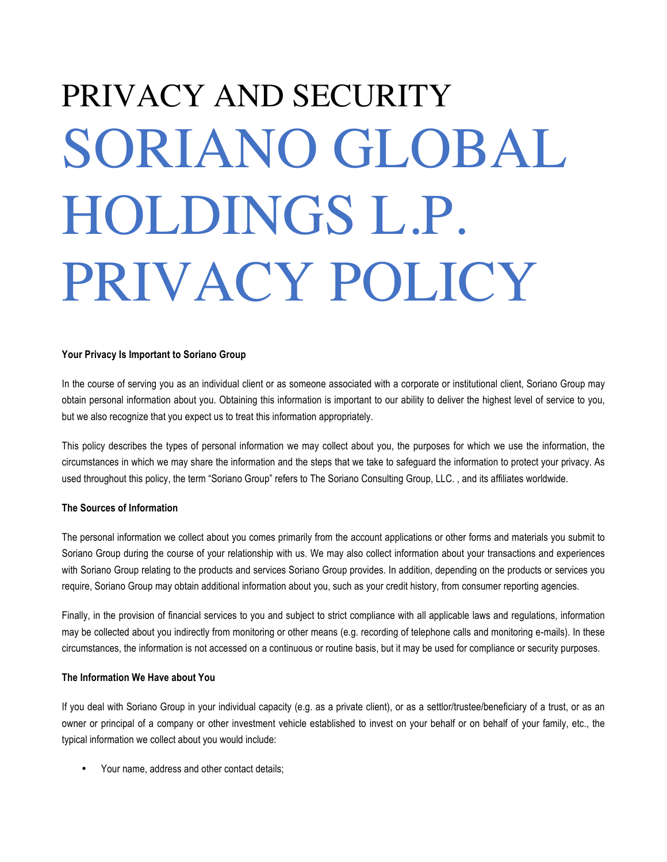# PRIVACY AND SECURITY SORIANO GLOBAL HOLDINGS L.P. PRIVACY POLICY

# **Your Privacy Is Important to Soriano Group**

In the course of serving you as an individual client or as someone associated with a corporate or institutional client, Soriano Group may obtain personal information about you. Obtaining this information is important to our ability to deliver the highest level of service to you, but we also recognize that you expect us to treat this information appropriately.

This policy describes the types of personal information we may collect about you, the purposes for which we use the information, the circumstances in which we may share the information and the steps that we take to safeguard the information to protect your privacy. As used throughout this policy, the term "Soriano Group" refers to The Soriano Consulting Group, LLC. , and its affiliates worldwide.

# **The Sources of Information**

The personal information we collect about you comes primarily from the account applications or other forms and materials you submit to Soriano Group during the course of your relationship with us. We may also collect information about your transactions and experiences with Soriano Group relating to the products and services Soriano Group provides. In addition, depending on the products or services you require, Soriano Group may obtain additional information about you, such as your credit history, from consumer reporting agencies.

Finally, in the provision of financial services to you and subject to strict compliance with all applicable laws and regulations, information may be collected about you indirectly from monitoring or other means (e.g. recording of telephone calls and monitoring e-mails). In these circumstances, the information is not accessed on a continuous or routine basis, but it may be used for compliance or security purposes.

# **The Information We Have about You**

If you deal with Soriano Group in your individual capacity (e.g. as a private client), or as a settlor/trustee/beneficiary of a trust, or as an owner or principal of a company or other investment vehicle established to invest on your behalf or on behalf of your family, etc., the typical information we collect about you would include:

• Your name, address and other contact details;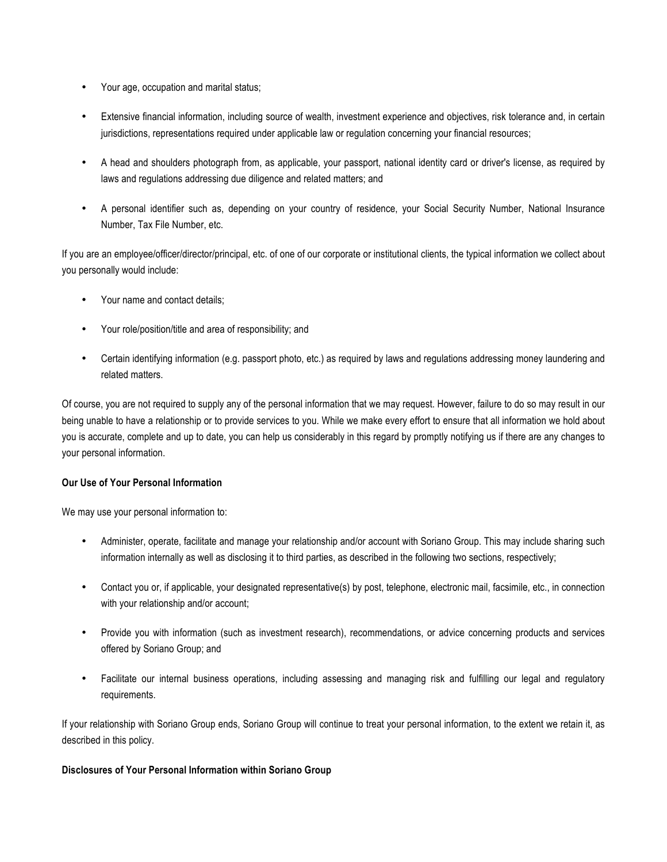- Your age, occupation and marital status;
- Extensive financial information, including source of wealth, investment experience and objectives, risk tolerance and, in certain jurisdictions, representations required under applicable law or regulation concerning your financial resources;
- A head and shoulders photograph from, as applicable, your passport, national identity card or driver's license, as required by laws and regulations addressing due diligence and related matters; and
- A personal identifier such as, depending on your country of residence, your Social Security Number, National Insurance Number, Tax File Number, etc.

If you are an employee/officer/director/principal, etc. of one of our corporate or institutional clients, the typical information we collect about you personally would include:

- Your name and contact details;
- Your role/position/title and area of responsibility; and
- Certain identifying information (e.g. passport photo, etc.) as required by laws and regulations addressing money laundering and related matters.

Of course, you are not required to supply any of the personal information that we may request. However, failure to do so may result in our being unable to have a relationship or to provide services to you. While we make every effort to ensure that all information we hold about you is accurate, complete and up to date, you can help us considerably in this regard by promptly notifying us if there are any changes to your personal information.

# **Our Use of Your Personal Information**

We may use your personal information to:

- Administer, operate, facilitate and manage your relationship and/or account with Soriano Group. This may include sharing such information internally as well as disclosing it to third parties, as described in the following two sections, respectively;
- Contact you or, if applicable, your designated representative(s) by post, telephone, electronic mail, facsimile, etc., in connection with your relationship and/or account;
- Provide you with information (such as investment research), recommendations, or advice concerning products and services offered by Soriano Group; and
- Facilitate our internal business operations, including assessing and managing risk and fulfilling our legal and regulatory requirements.

If your relationship with Soriano Group ends, Soriano Group will continue to treat your personal information, to the extent we retain it, as described in this policy.

# **Disclosures of Your Personal Information within Soriano Group**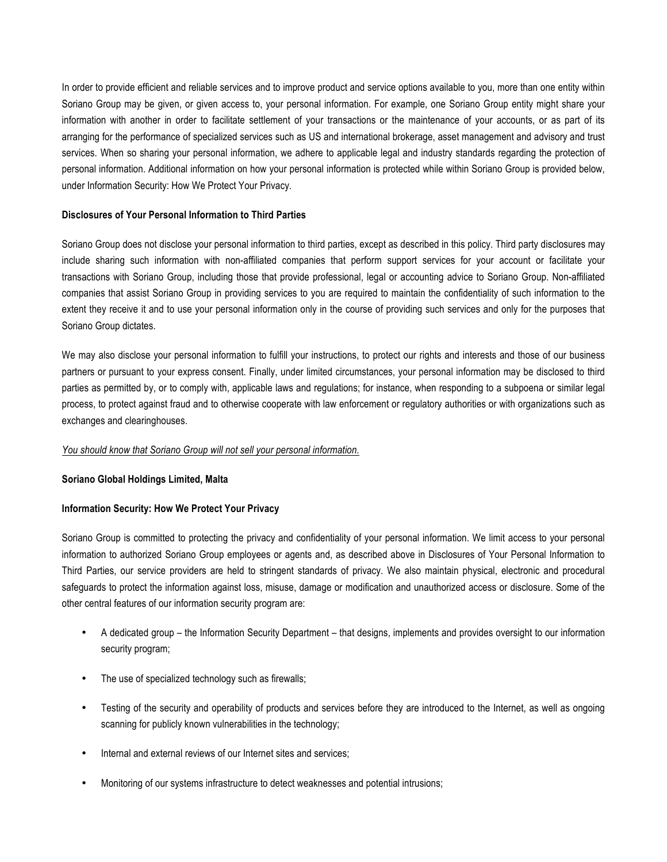In order to provide efficient and reliable services and to improve product and service options available to you, more than one entity within Soriano Group may be given, or given access to, your personal information. For example, one Soriano Group entity might share your information with another in order to facilitate settlement of your transactions or the maintenance of your accounts, or as part of its arranging for the performance of specialized services such as US and international brokerage, asset management and advisory and trust services. When so sharing your personal information, we adhere to applicable legal and industry standards regarding the protection of personal information. Additional information on how your personal information is protected while within Soriano Group is provided below, under Information Security: How We Protect Your Privacy.

# **Disclosures of Your Personal Information to Third Parties**

Soriano Group does not disclose your personal information to third parties, except as described in this policy. Third party disclosures may include sharing such information with non-affiliated companies that perform support services for your account or facilitate your transactions with Soriano Group, including those that provide professional, legal or accounting advice to Soriano Group. Non-affiliated companies that assist Soriano Group in providing services to you are required to maintain the confidentiality of such information to the extent they receive it and to use your personal information only in the course of providing such services and only for the purposes that Soriano Group dictates.

We may also disclose your personal information to fulfill your instructions, to protect our rights and interests and those of our business partners or pursuant to your express consent. Finally, under limited circumstances, your personal information may be disclosed to third parties as permitted by, or to comply with, applicable laws and regulations; for instance, when responding to a subpoena or similar legal process, to protect against fraud and to otherwise cooperate with law enforcement or regulatory authorities or with organizations such as exchanges and clearinghouses.

#### *You should know that Soriano Group will not sell your personal information.*

#### **Soriano Global Holdings Limited, Malta**

# **Information Security: How We Protect Your Privacy**

Soriano Group is committed to protecting the privacy and confidentiality of your personal information. We limit access to your personal information to authorized Soriano Group employees or agents and, as described above in Disclosures of Your Personal Information to Third Parties, our service providers are held to stringent standards of privacy. We also maintain physical, electronic and procedural safeguards to protect the information against loss, misuse, damage or modification and unauthorized access or disclosure. Some of the other central features of our information security program are:

- A dedicated group the Information Security Department that designs, implements and provides oversight to our information security program;
- The use of specialized technology such as firewalls;
- Testing of the security and operability of products and services before they are introduced to the Internet, as well as ongoing scanning for publicly known vulnerabilities in the technology;
- Internal and external reviews of our Internet sites and services;
- Monitoring of our systems infrastructure to detect weaknesses and potential intrusions;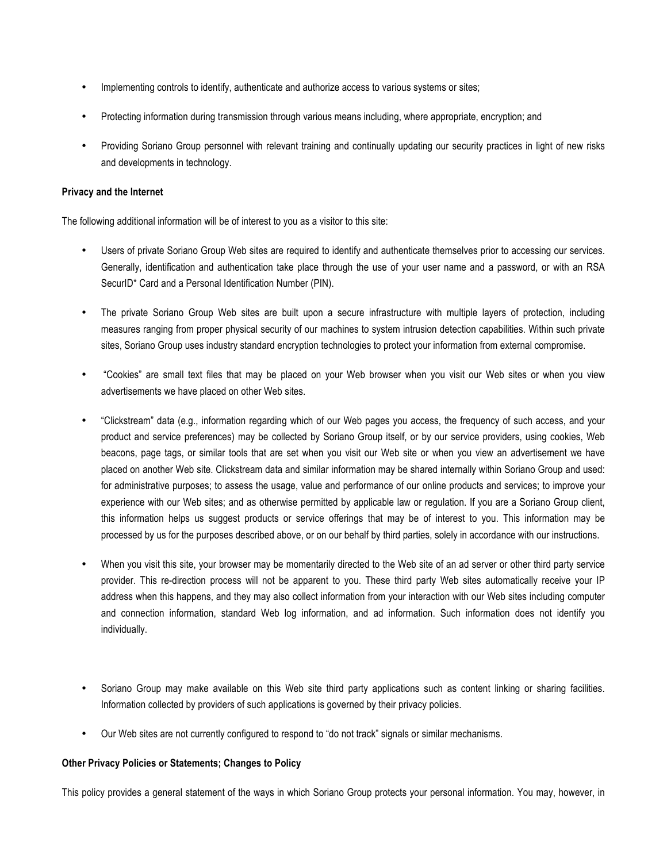- Implementing controls to identify, authenticate and authorize access to various systems or sites;
- Protecting information during transmission through various means including, where appropriate, encryption; and
- Providing Soriano Group personnel with relevant training and continually updating our security practices in light of new risks and developments in technology.

# **Privacy and the Internet**

The following additional information will be of interest to you as a visitor to this site:

- Users of private Soriano Group Web sites are required to identify and authenticate themselves prior to accessing our services. Generally, identification and authentication take place through the use of your user name and a password, or with an RSA SecurID\* Card and a Personal Identification Number (PIN).
- The private Soriano Group Web sites are built upon a secure infrastructure with multiple layers of protection, including measures ranging from proper physical security of our machines to system intrusion detection capabilities. Within such private sites, Soriano Group uses industry standard encryption technologies to protect your information from external compromise.
- "Cookies" are small text files that may be placed on your Web browser when you visit our Web sites or when you view advertisements we have placed on other Web sites.
- "Clickstream" data (e.g., information regarding which of our Web pages you access, the frequency of such access, and your product and service preferences) may be collected by Soriano Group itself, or by our service providers, using cookies, Web beacons, page tags, or similar tools that are set when you visit our Web site or when you view an advertisement we have placed on another Web site. Clickstream data and similar information may be shared internally within Soriano Group and used: for administrative purposes; to assess the usage, value and performance of our online products and services; to improve your experience with our Web sites; and as otherwise permitted by applicable law or regulation. If you are a Soriano Group client, this information helps us suggest products or service offerings that may be of interest to you. This information may be processed by us for the purposes described above, or on our behalf by third parties, solely in accordance with our instructions.
- When you visit this site, your browser may be momentarily directed to the Web site of an ad server or other third party service provider. This re-direction process will not be apparent to you. These third party Web sites automatically receive your IP address when this happens, and they may also collect information from your interaction with our Web sites including computer and connection information, standard Web log information, and ad information. Such information does not identify you individually.
- Soriano Group may make available on this Web site third party applications such as content linking or sharing facilities. Information collected by providers of such applications is governed by their privacy policies.
- Our Web sites are not currently configured to respond to "do not track" signals or similar mechanisms.

# **Other Privacy Policies or Statements; Changes to Policy**

This policy provides a general statement of the ways in which Soriano Group protects your personal information. You may, however, in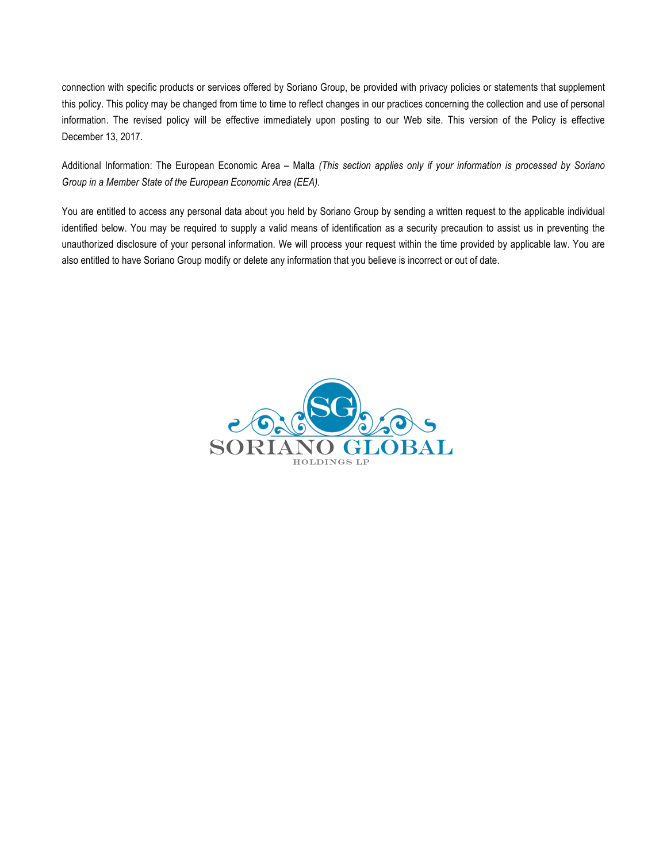connection with specific products or services offered by Soriano Group, be provided with privacy policies or statements that supplement this policy. This policy may be changed from time to time to reflect changes in our practices concerning the collection and use of personal information. The revised policy will be effective immediately upon posting to our Web site. This version of the Policy is effective December 13, 2017.

Additional Information: The European Economic Area – Malta *(This section applies only if your information is processed by Soriano Group in a Member State of the European Economic Area (EEA).*

You are entitled to access any personal data about you held by Soriano Group by sending a written request to the applicable individual identified below. You may be required to supply a valid means of identification as a security precaution to assist us in preventing the unauthorized disclosure of your personal information. We will process your request within the time provided by applicable law. You are also entitled to have Soriano Group modify or delete any information that you believe is incorrect or out of date.

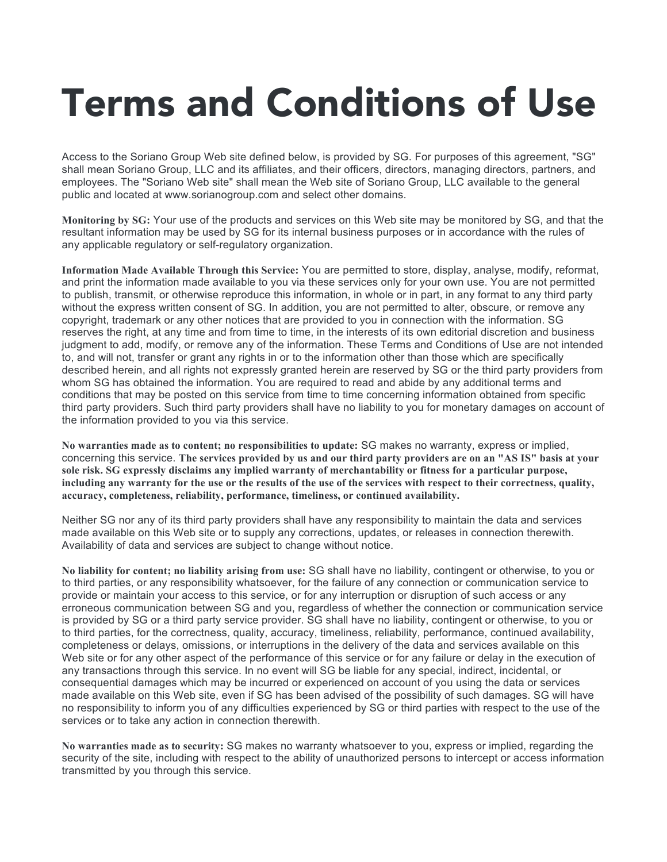# Terms and Conditions of Use

Access to the Soriano Group Web site defined below, is provided by SG. For purposes of this agreement, "SG" shall mean Soriano Group, LLC and its affiliates, and their officers, directors, managing directors, partners, and employees. The "Soriano Web site" shall mean the Web site of Soriano Group, LLC available to the general public and located at www.sorianogroup.com and select other domains.

**Monitoring by SG:** Your use of the products and services on this Web site may be monitored by SG, and that the resultant information may be used by SG for its internal business purposes or in accordance with the rules of any applicable regulatory or self-regulatory organization.

**Information Made Available Through this Service:** You are permitted to store, display, analyse, modify, reformat, and print the information made available to you via these services only for your own use. You are not permitted to publish, transmit, or otherwise reproduce this information, in whole or in part, in any format to any third party without the express written consent of SG. In addition, you are not permitted to alter, obscure, or remove any copyright, trademark or any other notices that are provided to you in connection with the information. SG reserves the right, at any time and from time to time, in the interests of its own editorial discretion and business judgment to add, modify, or remove any of the information. These Terms and Conditions of Use are not intended to, and will not, transfer or grant any rights in or to the information other than those which are specifically described herein, and all rights not expressly granted herein are reserved by SG or the third party providers from whom SG has obtained the information. You are required to read and abide by any additional terms and conditions that may be posted on this service from time to time concerning information obtained from specific third party providers. Such third party providers shall have no liability to you for monetary damages on account of the information provided to you via this service.

**No warranties made as to content; no responsibilities to update:** SG makes no warranty, express or implied, concerning this service. The services provided by us and our third party providers are on an "AS IS" basis at your **sole risk. SG expressly disclaims any implied warranty of merchantability or fitness for a particular purpose,** including any warranty for the use or the results of the use of the services with respect to their correctness, quality, **accuracy, completeness, reliability, performance, timeliness, or continued availability.**

Neither SG nor any of its third party providers shall have any responsibility to maintain the data and services made available on this Web site or to supply any corrections, updates, or releases in connection therewith. Availability of data and services are subject to change without notice.

**No liability for content; no liability arising from use:** SG shall have no liability, contingent or otherwise, to you or to third parties, or any responsibility whatsoever, for the failure of any connection or communication service to provide or maintain your access to this service, or for any interruption or disruption of such access or any erroneous communication between SG and you, regardless of whether the connection or communication service is provided by SG or a third party service provider. SG shall have no liability, contingent or otherwise, to you or to third parties, for the correctness, quality, accuracy, timeliness, reliability, performance, continued availability, completeness or delays, omissions, or interruptions in the delivery of the data and services available on this Web site or for any other aspect of the performance of this service or for any failure or delay in the execution of any transactions through this service. In no event will SG be liable for any special, indirect, incidental, or consequential damages which may be incurred or experienced on account of you using the data or services made available on this Web site, even if SG has been advised of the possibility of such damages. SG will have no responsibility to inform you of any difficulties experienced by SG or third parties with respect to the use of the services or to take any action in connection therewith.

**No warranties made as to security:** SG makes no warranty whatsoever to you, express or implied, regarding the security of the site, including with respect to the ability of unauthorized persons to intercept or access information transmitted by you through this service.